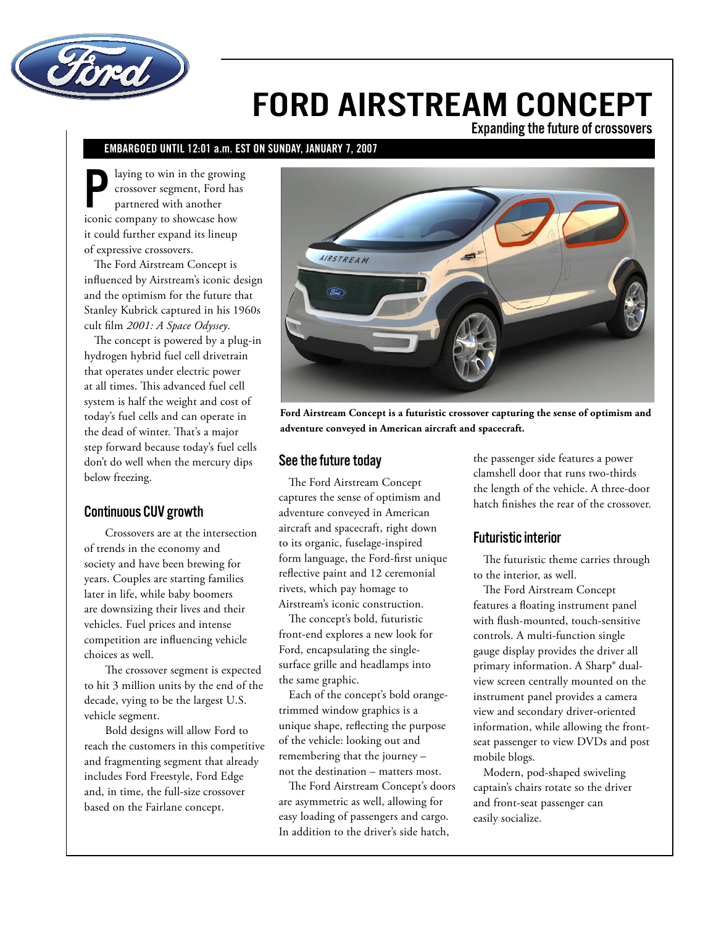

# FORD AIRSTREAM CONCEPT

Expanding the future of crossovers

# EMBARGOED UNTIL 12:01 a.m. EST ON SUNDAY, JANUARY 7, 2007

laying to win in the growing crossover segment, Ford has partnered with another iconic company to showcase how it could further expand its lineup of expressive crossovers.

The Ford Airstream Concept is influenced by Airstream's iconic design and the optimism for the future that Stanley Kubrick captured in his 1960s cult film *2001: A Space Odyssey*.

The concept is powered by a plug-in hydrogen hybrid fuel cell drivetrain that operates under electric power at all times. This advanced fuel cell system is half the weight and cost of today's fuel cells and can operate in the dead of winter. That's a major step forward because today's fuel cells don't do well when the mercury dips below freezing.

## Continuous CUV growth

Crossovers are at the intersection of trends in the economy and society and have been brewing for years. Couples are starting families later in life, while baby boomers are downsizing their lives and their vehicles. Fuel prices and intense competition are influencing vehicle choices as well.

The crossover segment is expected to hit 3 million units by the end of the decade, vying to be the largest U.S. vehicle segment.

Bold designs will allow Ford to reach the customers in this competitive and fragmenting segment that already includes Ford Freestyle, Ford Edge and, in time, the full-size crossover based on the Fairlane concept.



**Ford Airstream Concept is a futuristic crossover capturing the sense of optimism and adventure conveyed in American aircraft and spacecraft.**

#### See the future today

The Ford Airstream Concept captures the sense of optimism and adventure conveyed in American aircraft and spacecraft, right down to its organic, fuselage-inspired form language, the Ford-first unique reflective paint and 12 ceremonial rivets, which pay homage to Airstream's iconic construction.

The concept's bold, futuristic front-end explores a new look for Ford, encapsulating the singlesurface grille and headlamps into the same graphic.

Each of the concept's bold orangetrimmed window graphics is a unique shape, reflecting the purpose of the vehicle: looking out and remembering that the journey – not the destination – matters most.

The Ford Airstream Concept's doors are asymmetric as well, allowing for easy loading of passengers and cargo. In addition to the driver's side hatch,

the passenger side features a power clamshell door that runs two-thirds the length of the vehicle. A three-door hatch finishes the rear of the crossover.

#### Futuristic interior

The futuristic theme carries through to the interior, as well.

The Ford Airstream Concept features a floating instrument panel with flush-mounted, touch-sensitive controls. A multi-function single gauge display provides the driver all primary information. A Sharp® dualview screen centrally mounted on the instrument panel provides a camera view and secondary driver-oriented information, while allowing the frontseat passenger to view DVDs and post mobile blogs.

Modern, pod-shaped swiveling captain's chairs rotate so the driver and front-seat passenger can easily socialize.